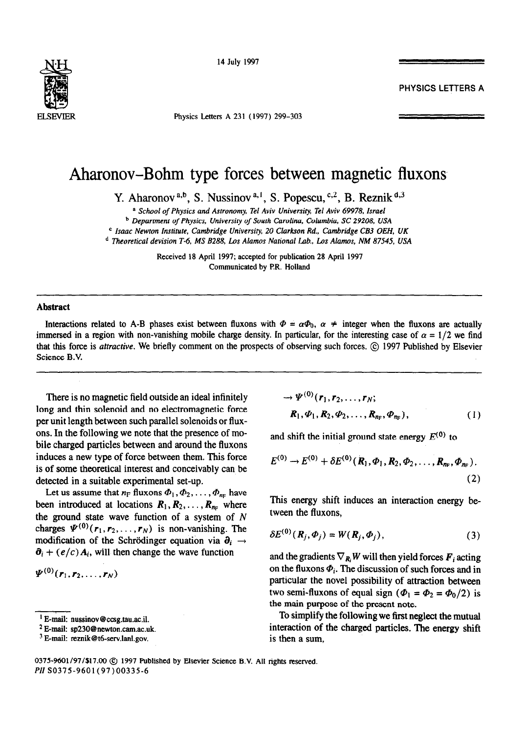

14 July 1997

**PHYSICS LETTERS A** 

Physics Letters A 231 (1997) 299-303

## Aharonov-Bohm type forces between magnetic fluxons

Y. Aharonov<sup>a,b</sup>, S. Nussinov<sup>a,1</sup>, S. Popescu,<sup>c,2</sup>, B. Reznik<sup>d,3</sup>

a School *of Physics and Astronomy, Tel Aviv University, Tel Aviv 69978, Israel* 

*b Department of Physics, University of South* Carolina, *Columbia, SC 29208, USA* 

*c Isaac Newton Institute, Cambridge University, 20 Clarkson Rd., Cambridge CB3 OEH, UK* 

*d Theoretical devision T-6, MS 8288, Las Alamos National Lab., Los Alamos, NM 87545, USA* 

Received 18 April 1997; accepted for publication 28 April 1997 Communicated by P.R. Holland

## Abstract

Interactions related to A-B phases exist between fluxons with  $\Phi = \alpha \Phi_0$ ,  $\alpha \neq$  integer when the fluxons are actually immersed in a region with non-vanishing mobile charge density. In particular, for the interesting case of  $\alpha = 1/2$  we find that this force is attractive. We briefly comment on the prospects of observing such forces. © 1997 Published by Elsevier Science B.V.

There is no magnetic field outside an ideal infinitely long and thin solenoid and no electromagnetic force per unit length between such parallel solenoids or fluxons. In the following we note that the presence of mobile charged particles between and around the fluxons induces a new type of force between them. This force is of some theoretical interest and conceivably can be detected in a suitable experimental set-up.

Let us assume that  $n_F$  fluxons  $\Phi_1, \Phi_2, \ldots, \Phi_{n_F}$  have been introduced at locations  $R_1, R_2, \ldots, R_{n_F}$  where the ground state wave function of a system of  $N$ charges  $\Psi^{(0)}(r_1,r_2,\ldots,r_N)$  is non-vanishing. The modification of the Schrödinger equation via  $\partial_i \rightarrow$  $\partial_i + (e/c) A_i$ , will then change the wave function

 $\Psi^{(0)}(r_1, r_2, \ldots, r_N)$ 

2 E-mail: sp230@newton.cam.ac.uk.

$$
\rightarrow \Psi^{(0)}(r_1, r_2, \dots, r_N; \nR_1, \Phi_1, R_2, \Phi_2, \dots, R_{n_F}, \Phi_{n_F}),
$$
\n(1)

and shift the initial ground state energy  $E^{(0)}$  to

$$
E^{(0)} \to E^{(0)} + \delta E^{(0)}(R_1, \Phi_1, R_2, \Phi_2, \ldots, R_{n_F}, \Phi_{n_F}).
$$
\n(2)

This energy shift induces an interaction energy between the fluxons,

$$
\delta E^{(0)}(\mathbf{R}_j, \Phi_j) = W(\mathbf{R}_j, \Phi_j), \qquad (3)
$$

and the gradients  $\nabla_{\mathbf{R}} W$  will then yield forces  $\mathbf{F}_i$  acting on the fluxons  $\Phi_i$ . The discussion of such forces and in particular the novel possibility of attraction between two semi-fluxons of equal sign ( $\Phi_1 = \Phi_2 = \Phi_0/2$ ) is the main purpose of the present note.

To simplify the following we first neglect the mutual interaction of the charged particles. The energy shift is then a sum,

<sup>&#</sup>x27; E-mail: nussinov@ccsg.tau.ac.il.

<sup>&</sup>lt;sup>3</sup> E-mail: reznik@t6-serv.lanl.gov.

<sup>0375-9601/97/\$17.00 @ 1997</sup> Published by Elsevier Science B.V. All rights reserved. PII SO375-9601(97)00335-6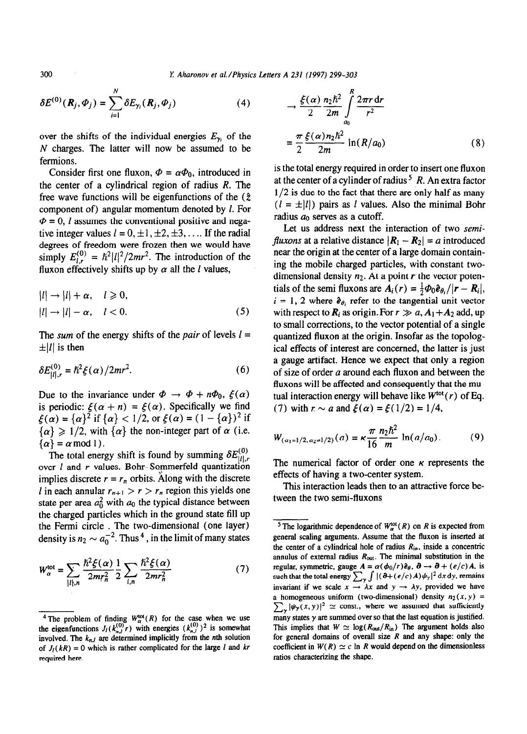**300 L** *Aharonov et al./Physics Letters A 231 (1997) 299-303* 

$$
\delta E^{(0)}(\boldsymbol{R}_j, \boldsymbol{\phi}_j) = \sum_{i=1}^N \delta E_{\gamma_i}(\boldsymbol{R}_j, \boldsymbol{\phi}_j)
$$
(4)

over the shifts of the individual energies  $E_{\gamma_i}$  of the N charges. The latter will now be assumed to be fermions.

Consider first one fluxon,  $\Phi = \alpha \Phi_0$ , introduced in the center of a cylindrical region of radius *R. The*  free wave functions will be eigenfunctions of the  $(\hat{z})$ component of) angular momentum denoted by 1. For  $\Phi = 0$ , *l* assumes the conventional positive and negative integer values  $l = 0, \pm 1, \pm 2, \pm 3, \ldots$  If the radial degrees of freedom were frozen then we would have simply  $E_{l,r}^{(0)} = \hslash^2 \frac{l^2}{2mr^2}$ . The introduction of the fluxon effectively shifts up by  $\alpha$  all the *l* values,

$$
|l| \to |l| + \alpha, \quad l \ge 0,
$$
  

$$
|l| \to |l| - \alpha, \quad l < 0.
$$
 (5)

The *sum* of the energy shifts of the *pair* of levels  $l =$  $\pm$ |*l*| is then

$$
\delta E_{|l|,r}^{(0)} = \hbar^2 \xi(\alpha) / 2mr^2.
$$
 (6)

Due to the invariance under  $\Phi \to \Phi + n\Phi_0$ ,  $\xi(\alpha)$ is periodic:  $\xi(\alpha + n) = \xi(\alpha)$ . Specifically we find  $\xi(\alpha) = {\alpha}^2$  if  ${\alpha} < 1/2$ , or  $\xi(\alpha) = (1 - {\alpha})^2$  if  $\{\alpha\} \geq 1/2$ , with  $\{\alpha\}$  the non-integer part of  $\alpha$  (i.e.  $\{\alpha\}=\alpha \mod 1$ .

The total energy shift is found by summing  $\delta E_{|l|,r}^{(0)}$ over *l* and *r* values. Bohr-Sommerfeld quantization implies discrete  $r = r_n$  orbits. Along with the discrete *l* in each annular  $r_{n+1} > r > r_n$  region this yields one state per area  $a_0^2$  with  $a_0$  the typical distance between the charged particles which in the ground state fill up the Fermi circle . The two-dimensional (one layer) density is  $n_2 \sim a_0^{-2}$ . Thus <sup>4</sup>, in the limit of many states

$$
W_{\alpha}^{\text{tot}} = \sum_{|l|,n} \frac{\hbar^2 \xi(\alpha)}{2mr_n^2} \frac{1}{2} \sum_{l,n} \frac{\hbar^2 \xi(\alpha)}{2mr_n^2}
$$
(7)

$$
\rightarrow \frac{\xi(\alpha)}{2} \frac{n_2 \hbar^2}{2m} \int_{a_0}^{n_1} \frac{2\pi r \, dr}{r^2}
$$

$$
= \frac{\pi}{2} \frac{\xi(\alpha) n_2 \hbar^2}{2m} \ln(R/a_0) \tag{8}
$$

*R* 

is the total energy required in order to insert one fluxon at the center of a cylinder of radius 5 *R.* An extra factor  $1/2$  is due to the fact that there are only half as many  $(l = \pm |l|)$  pairs as *l* values. Also the minimal Bohr radius  $a_0$  serves as a cutoff.

Let us address next the interaction of two *semifluxons* at a relative distance  $|R_1 - R_2| = a$  introduced near the origin at the center of a large domain containing the mobile charged particles, with constant twodimensional density  $n_2$ . At a point r the vector potentials of the semi fluxons are  $A_i(r) = \frac{1}{2}\Phi_0 \hat{e}_{\theta_i}/(r - R_i)$ ,  $i = 1, 2$  where  $\hat{e}_{\theta_i}$  refer to the tangential unit vector with respect to  $\mathbf{R}_i$  as origin. For  $r \gg a$ ,  $A_1 + A_2$  add, up to small corrections, to the vector potential of a single quantized fluxon at the origin. Insofar as the topological effects of interest are concerned, the latter is just a gauge artifact. Hence we expect that only a region of size of order a around each fluxon and between the fluxons will be affected and consequently that the mutual interaction energy will behave like  $W^{tot}(r)$  of Eq. (7) with  $r \sim a$  and  $\xi(\alpha) = \xi(1/2) = 1/4$ ,

$$
W_{(\alpha_1=1/2,\alpha_2=1/2)}(a) = \kappa \frac{\pi}{16} \frac{n_2 \hbar^2}{m} \ln(a/a_0). \tag{9}
$$

The numerical factor of order one  $\kappa$  represents the effects of having a two-center system.

This interaction leads then to an attractive force between the two semi-fluxons

<sup>&</sup>lt;sup>4</sup> The problem of finding  $W_\alpha^{\text{tot}}(R)$  for the case when we use the eigenfunctions  $J_l(k_n^{\prime\prime\prime}r)$  with energies  $(k_n^{\prime\prime})^2$  is somewhat involved. The  $k_{n,j}$  are determined implicitly from the *n*th solution of  $J_l(kR) = 0$  which is rather complicated for the large l and  $kr$ **required here.** 

<sup>&</sup>lt;sup>5</sup> The logarithmic dependence of  $W_{\alpha}^{\text{tot}}(R)$  on *R* is expected from **general scaling arguments. Assume that the fluxon is inserted at**  the center of a cylindrical hole of radius  $R_{in}$ , inside a concentric annulus of external radius  $R_{out}$ . The minimal substitution in the **regular, symmetric, gauge**  $A = \alpha(\phi_0/r)\hat{e}_{\theta}$ **,**  $\theta \rightarrow \theta + (e/c)A$ **, is** such that the total energy  $\sum_{\mathbf{v}} \int |(\partial + (e/c) A) \psi_{\mathbf{v}}|^2 dx dy$ , remains invariant if we scale  $x \rightarrow \lambda x$  and  $y \rightarrow \lambda y$ , provided we have a homogeneous uniform (two-dimensional) density  $n_2(x, y)$  =  $\sum_{\mathbf{v}} |\psi_{\mathbf{y}}(x, y)|^2 \simeq \text{const.}$ , where we assumed that sufficiently **many states y are summed over so that the last equation is justified.**  This implies that  $W \simeq \log(R_{out}/R_{in})$  The argument holds also **for general domains of overall size** *R* **and any shape: only the**  coefficient in  $W(R) \simeq c$  ln R would depend on the dimensionless **ratios characterizing the shape.**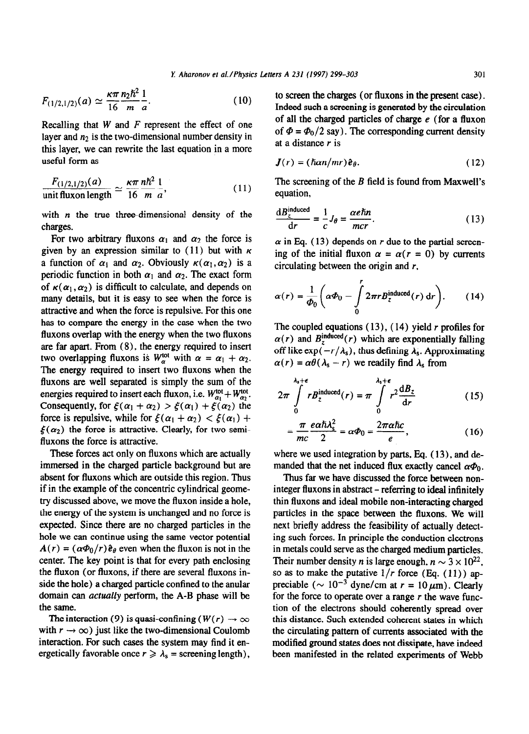$$
F_{(1/2,1/2)}(a) \simeq \frac{\kappa \pi}{16} \frac{n_2 \hbar^2}{m} \frac{1}{a}.
$$
 (10)

Recalling that *W* and *F* represent the effect of one layer and  $n_2$  is the two-dimensional number density in this layer, we can rewrite the last equation in a more useful form as

$$
\frac{F_{(1/2,1/2)}(a)}{\text{unit fluxon length}} \simeq \frac{\kappa \pi}{16} \frac{n \hbar^2}{m} \frac{1}{a},\tag{11}
$$

with  $n$  the true three-dimensional density of the charges.

For two arbitrary fluxons  $\alpha_1$  and  $\alpha_2$  the force is given by an expression similar to  $(11)$  but with  $\kappa$ a function of  $\alpha_1$  and  $\alpha_2$ . Obviously  $\kappa(\alpha_1,\alpha_2)$  is a periodic function in both  $\alpha_1$  and  $\alpha_2$ . The exact form of  $\kappa(\alpha_1, \alpha_2)$  is difficult to calculate, and depends on many details, but it is easy to see when the force is attractive and when the force is repulsive. For this one has to compare the energy in the case when the two fluxons overlap with the energy when the two fluxons are far apart. From (S), the energy required to insert two overlapping fluxons is  $W_\alpha^{\text{tot}}$  with  $\alpha = \alpha_1 + \alpha_2$ . The energy required to insert two fluxons when the fluxons are well separated is simply the sum of the energies required to insert each fluxon, i.e.  $W_{\alpha_1}^{\text{tot}} + W_{\alpha_2}^{\text{tot}}$ . Consequently, for  $\xi(\alpha_1 + \alpha_2) > \xi(\alpha_1) + \xi(\alpha_2)$  the force is repulsive, while for  $\xi(\alpha_1 + \alpha_2) < \xi(\alpha_1)$  +  $\xi(\alpha_2)$  the force is attractive. Clearly, for two semifluxons the force is attractive.

These forces act only on fluxons which are actually immersed in the charged particle background but are absent for fluxons which are outside this region. Thus if in the example of the concentric cylindrical geometry discussed above, we move the fluxon inside a hole, the energy of the system is unchanged and no force is expected. Since there are no charged particles in the hole we can continue using the same vector potential  $A(r) = (\alpha \Phi_0/r) \hat{e}_{\theta}$  even when the fluxon is not in the center. The key point is that for every path enclosing the fluxon (or fluxons, if there are several fluxons inside the hole) a charged particle confined to the anular domain can actually perform, the A-B phase will be the same.

The interaction (9) is quasi-confining ( $W(r) \rightarrow \infty$ with  $r \to \infty$ ) just like the two-dimensional Coulomb interaction. For such cases the system may find it energetically favorable once  $r \ge \lambda_s$  = screening length), to screen the charges (or fluxons in the present case). Indeed such a screening is generated by the circulation of all the charged particles of charge e (for a fluxon of  $\Phi = \Phi_0/2$  say). The corresponding current density at a distance  $r$  is

$$
\mathbf{J}(r) = (\hbar \alpha n/mr) \hat{\mathbf{e}}_{\theta}.
$$
 (12)

*The* screening of the B field is found from Maxwell's equation,

$$
\frac{dB_z^{\text{induced}}}{dr} = \frac{1}{c}J_\theta = \frac{\alpha e \hbar n}{mcr}.
$$
 (13)

 $\alpha$  in Eq. (13) depends on  $r$  due to the partial screening of the initial fluxon  $\alpha = \alpha(r = 0)$  by currents circulating between the origin and  $r$ ,

$$
\alpha(r) = \frac{1}{\Phi_0} \left( \alpha \Phi_0 - \int\limits_0^r 2\pi r B_z^{\text{induced}}(r) \, \mathrm{d}r \right). \qquad (14)
$$

The coupled equations  $(13)$ ,  $(14)$  yield r profiles for  $\alpha(r)$  and  $B_z^{\text{induced}}(r)$  which are exponentially falling off like  $\exp(-r/\lambda_s)$ , thus defining  $\lambda_s$ . Approximating  $\alpha(r) = \alpha \theta (\lambda_s - r)$  we readily find  $\lambda_s$  from

$$
2\pi \int_{0}^{\lambda_{s}+\epsilon} r B_{z}^{\text{induced}}(r) = \pi \int_{0}^{\lambda_{s}+\epsilon} r^{2} \frac{dB_{z}}{dr}
$$
 (15)

$$
=\frac{\pi}{mc}\frac{e\alpha\hbar\lambda_s^2}{2}=\alpha\Phi_0=\frac{2\pi\alpha\hbar c}{e},\qquad(16)
$$

where we used integration by parts, Eq.  $(13)$ , and demanded that the net induced flux exactly cancel  $\alpha\Phi_0$ .

Thus far we have discussed the force between noninteger fluxons in abstract – referring to ideal infinitely thin fluxons and ideal mobile non-interacting charged particles in the space between the fluxons. We will next briefly address the feasibility of actually detecting such forces. In principle the conduction electrons in metals could serve as the charged medium particles. Their number density *n* is large enough,  $n \sim 3 \times 10^{22}$ , so as to make the putative  $1/r$  force (Eq. (11)) appreciable ( $\sim 10^{-3}$  dyne/cm at  $r = 10 \,\mu\text{m}$ ). Clearly for the force to operate over a range *r the* wave function of the electrons should coherently spread over this distance. Such extended coherent states in which the circulating pattern of currents associated with the modified ground states does not dissipate, have indeed been manifested in the related experiments of Webb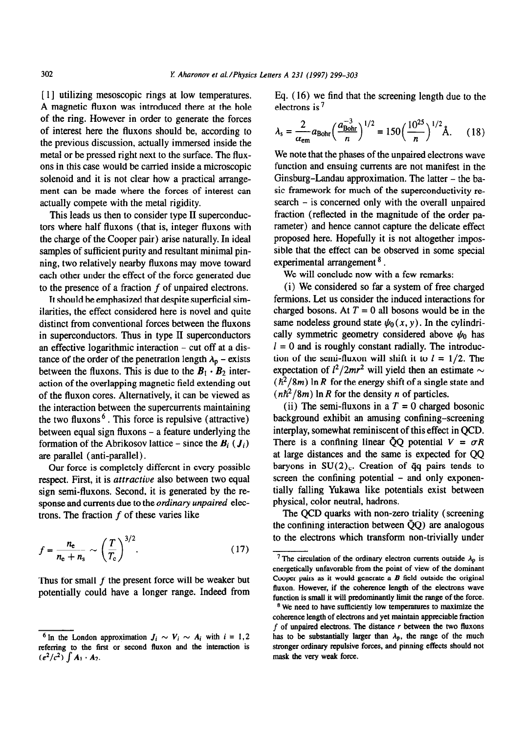[ I] utilizing mesoscopic rings at low temperatures. A magnetic fluxon was introduced there at the hole of the ring. However in order to generate the forces of interest here the fluxons should be, according to the previous discussion, actually immersed inside the metal or be pressed right next to the surface. The fluxons in this case would be carried inside a microscopic solenoid and it is not clear how a practical arrangement can be made where the forces of interest can actually compete with the metal rigidity.

This leads us then to consider type II superconductors where half fluxons (that is, integer fluxons with the charge of the Cooper pair) arise naturally. In ideal samples of sufficient purity and resultant minimal pinning, two relatively nearby fluxons may move toward each other under the effect of the force generated due to the presence of a fraction  $f$  of unpaired electrons.

It should be emphasized that despite superficial similarities, the effect considered here is novel and quite distinct from conventional forces between the fluxons in superconductors. Thus in type II superconductors an effective logarithmic interaction - cut off at a distance of the order of the penetration length  $\lambda_p$  – exists between the fluxons. This is due to the  $B_1 \cdot B_2$  interaction of the overlapping magnetic field extending out of the fluxon cores. Alternatively, it can be viewed as the interaction between the supercurrents maintaining the two fluxons<sup>6</sup>. This force is repulsive (attractive) between equal sign fluxons - a feature underlying the formation of the Abrikosov lattice – since the  $B_i$  ( $J_i$ ) *are* parallel (anti-parallel).

Our force is completely different in every possible respect. First, it is attractive also between two equal sign semi-fluxons. Second, it is generated by the response and currents due to the *ordinary unpaired* electrons. The fraction  $f$  of these varies like

$$
f = \frac{n_{\rm e}}{n_{\rm e} + n_{\rm s}} \sim \left(\frac{T}{T_{\rm c}}\right)^{3/2}.\tag{17}
$$

Thus for small *f* the present force will be weaker but potentially could have a longer range. Indeed from Eq. (16) we find that the screening length due to the electrons is 7

$$
\lambda_{\rm s} = \frac{2}{\alpha_{\rm em}} a_{\rm Bohr} \left(\frac{a_{\rm Bohr}^{-3}}{n}\right)^{1/2} = 150 \left(\frac{10^{25}}{n}\right)^{1/2} \text{\AA}. \tag{18}
$$

We note that the phases of the unpaired electrons **wave**  function and ensuing currents are not manifest **in** the Ginsburg-Landau approximation. The latter – the basic framework for much of the superconductivity research - is concerned only with the overall unpaired fraction (reflected in the magnitude of the order **pa**rameter) and hence cannot capture the delicate effect proposed here. Hopefully it is not altogether impossible that the effect can be observed in some special experimental arrangement<sup>8</sup>.

We will conclude now with a few remarks:

(i) We considered so far a system of free charged fermions. Let us consider the induced interactions for charged bosons. At  $T = 0$  all bosons would be in the same nodeless ground state  $\psi_0(x, y)$ . In the cylindrically symmetric geometry considered above  $\psi_0$  has  $l = 0$  and is roughly constant radially. The introduction of the semi-fluxon will shift it to  $l = 1/2$ . The expectation of  $l^2/2mr^2$  will yield then an estimate  $\sim$  $(\hbar^2/8m)$  ln *R* for the energy shift of a single state and  $(n\hbar^2/8m)$  ln R for the density n of particles.

(ii) The semi-fluxons in a  $T = 0$  charged bosonic background exhibit an amusing confining-screening interplay, somewhat reminiscent of this effect in QCD. There is a confining linear  $\bar{Q}Q$  potential  $V = \sigma R$ at large distances and the same is expected for QQ baryons in  $SU(2)_c$ . Creation of  $\bar{q}q$  pairs tends to screen the confining potential - and only exponentially falling Yukawa like potentials exist between physical, color neutral, hadrons.

The QCD quarks with non-zero triality (screening the confining interaction between  $\bar{Q}Q$ ) are analogous to the electrons which transform non-trivially under

<sup>&</sup>lt;sup>6</sup> In the London approximation  $J_i \sim V_i \sim A_i$  with  $i = 1, 2$ **referring to the first or second fluxon and the interaction is**   $(e^{2}/c^{2}) \int A_{1} \cdot A_{2}$ .

<sup>&</sup>lt;sup>7</sup> The circulation of the ordinary electron currents outside  $\lambda_p$  is **energetically unfavorable from the point of** *view* **of the dominant Cooper pairs as it would generate a B field outside the original Buxon. However, if the coherence length of the electrons wave function is small it will predominantly limit the range of the force.** 

**<sup>\*</sup>We need to have sufficiently low temperatures to maximize the coherence length of electrons and yet maintain appreciable fraction f of unpaired electrons. The distance r between the two fluxons**  has to be substantially larger than  $\lambda_p$ , the range of the much **stronger ordinary repulsive forces, and pinning effects should not mask the very weak force.**